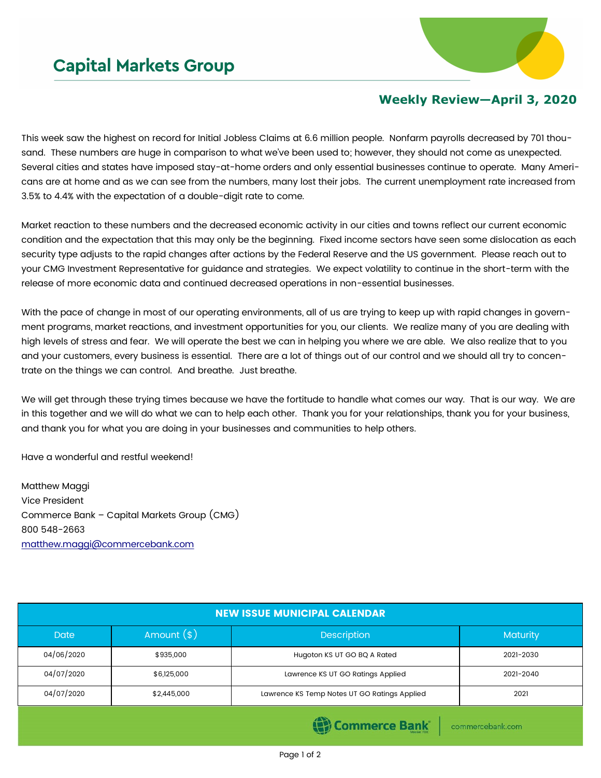

## **Weekly Review—April 3, 2020**

This week saw the highest on record for Initial Jobless Claims at 6.6 million people. Nonfarm payrolls decreased by 701 thousand. These numbers are huge in comparison to what we've been used to; however, they should not come as unexpected. Several cities and states have imposed stay-at-home orders and only essential businesses continue to operate. Many Americans are at home and as we can see from the numbers, many lost their jobs. The current unemployment rate increased from 3.5% to 4.4% with the expectation of a double-digit rate to come.

Market reaction to these numbers and the decreased economic activity in our cities and towns reflect our current economic condition and the expectation that this may only be the beginning. Fixed income sectors have seen some dislocation as each security type adjusts to the rapid changes after actions by the Federal Reserve and the US government. Please reach out to your CMG Investment Representative for guidance and strategies. We expect volatility to continue in the short-term with the release of more economic data and continued decreased operations in non-essential businesses.

With the pace of change in most of our operating environments, all of us are trying to keep up with rapid changes in government programs, market reactions, and investment opportunities for you, our clients. We realize many of you are dealing with high levels of stress and fear. We will operate the best we can in helping you where we are able. We also realize that to you and your customers, every business is essential. There are a lot of things out of our control and we should all try to concentrate on the things we can control. And breathe. Just breathe.

We will get through these trying times because we have the fortitude to handle what comes our way. That is our way. We are in this together and we will do what we can to help each other. Thank you for your relationships, thank you for your business, and thank you for what you are doing in your businesses and communities to help others.

Have a wonderful and restful weekend!

Matthew Maggi Vice President Commerce Bank – Capital Markets Group (CMG) 800 548-2663 [matthew.maggi@commercebank.com](mailto:matthew.maggi@commercebank.com)

| <b>NEW ISSUE MUNICIPAL CALENDAR</b>   |              |                                              |           |  |  |
|---------------------------------------|--------------|----------------------------------------------|-----------|--|--|
| <b>Date</b>                           | Amount $(*)$ | <b>Description</b>                           | Maturity  |  |  |
| 04/06/2020                            | \$935,000    | Hugoton KS UT GO BQ A Rated                  | 2021-2030 |  |  |
| 04/07/2020                            | \$6,125,000  | Lawrence KS UT GO Ratings Applied            | 2021-2040 |  |  |
| 04/07/2020                            | \$2,445,000  | Lawrence KS Temp Notes UT GO Ratings Applied | 2021      |  |  |
| (B) Commerce Bank<br>commercebank.com |              |                                              |           |  |  |